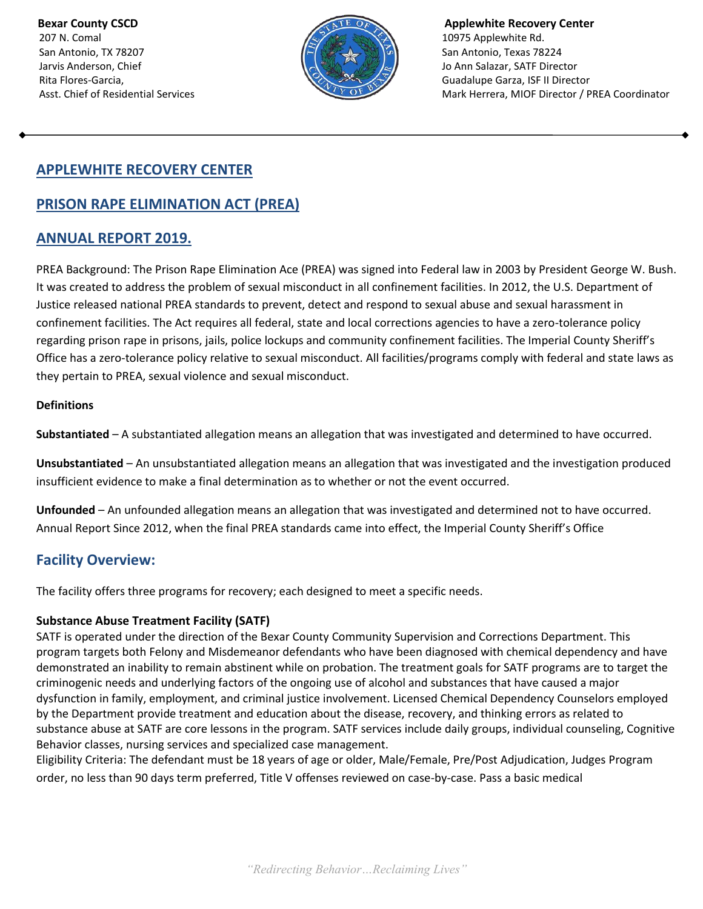207 N. Comal 2007 N. Comal 2007 N. Comal 2007 N. Comal 2007 N. Comal 2007 N. Comal 2007 N. Comal 2007 N. Coma San Antonio, TX 78207 San Antonio, Texas 78224 Jarvis Anderson, Chief John Balazar, SATF Director



**Bexar County CSCD Applewhite Recovery Center Applewhite Recovery Center** Rita Flores-Garcia, **Guadalupe Garza, ISF II Director** Asst. Chief of Residential Services Mark Herrera, MIOF Director / PREA Coordinator

# **APPLEWHITE RECOVERY CENTER**

# **PRISON RAPE ELIMINATION ACT (PREA)**

## **ANNUAL REPORT 2019.**

PREA Background: The Prison Rape Elimination Ace (PREA) was signed into Federal law in 2003 by President George W. Bush. It was created to address the problem of sexual misconduct in all confinement facilities. In 2012, the U.S. Department of Justice released national PREA standards to prevent, detect and respond to sexual abuse and sexual harassment in confinement facilities. The Act requires all federal, state and local corrections agencies to have a zero-tolerance policy regarding prison rape in prisons, jails, police lockups and community confinement facilities. The Imperial County Sheriff's Office has a zero-tolerance policy relative to sexual misconduct. All facilities/programs comply with federal and state laws as they pertain to PREA, sexual violence and sexual misconduct.

#### **Definitions**

**Substantiated** – A substantiated allegation means an allegation that was investigated and determined to have occurred.

**Unsubstantiated** – An unsubstantiated allegation means an allegation that was investigated and the investigation produced insufficient evidence to make a final determination as to whether or not the event occurred.

**Unfounded** – An unfounded allegation means an allegation that was investigated and determined not to have occurred. Annual Report Since 2012, when the final PREA standards came into effect, the Imperial County Sheriff's Office

## **Facility Overview:**

The facility offers three programs for recovery; each designed to meet a specific needs.

### **Substance Abuse Treatment Facility (SATF)**

SATF is operated under the direction of the Bexar County Community Supervision and Corrections Department. This program targets both Felony and Misdemeanor defendants who have been diagnosed with chemical dependency and have demonstrated an inability to remain abstinent while on probation. The treatment goals for SATF programs are to target the criminogenic needs and underlying factors of the ongoing use of alcohol and substances that have caused a major dysfunction in family, employment, and criminal justice involvement. Licensed Chemical Dependency Counselors employed by the Department provide treatment and education about the disease, recovery, and thinking errors as related to substance abuse at SATF are core lessons in the program. SATF services include daily groups, individual counseling, Cognitive Behavior classes, nursing services and specialized case management.

Eligibility Criteria: The defendant must be 18 years of age or older, Male/Female, Pre/Post Adjudication, Judges Program order, no less than 90 days term preferred, Title V offenses reviewed on case-by-case. Pass a basic medical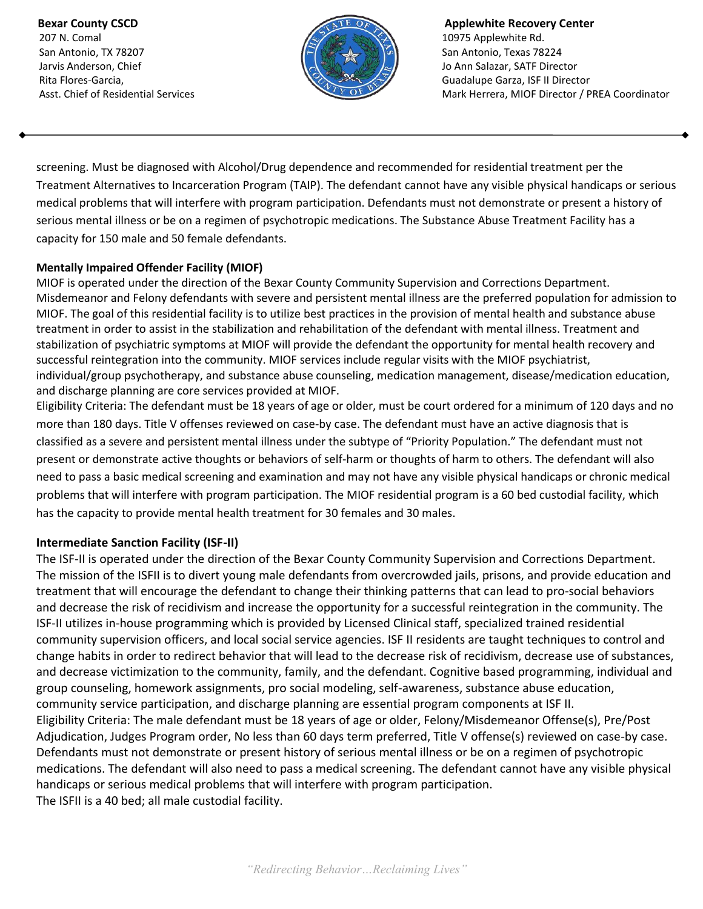207 N. Comal 2007 N. Comal 2007 N. Comal 2007 N. Comal 2007 N. Comal 2007 N. Comal 2007 N. Comal 2007 N. Coma San Antonio, TX 78207 San Antonio, Texas 78224 Jarvis Anderson, Chief John Balazar, SATF Director



**Bexar County CSCD Applewhite Recovery Center Applewhite Recovery Center** Rita Flores-Garcia, **Guadalupe Garza, ISF II Director** Asst. Chief of Residential Services Mark Herrera, MIOF Director / PREA Coordinator

screening. Must be diagnosed with Alcohol/Drug dependence and recommended for residential treatment per the Treatment Alternatives to Incarceration Program (TAIP). The defendant cannot have any visible physical handicaps or serious medical problems that will interfere with program participation. Defendants must not demonstrate or present a history of serious mental illness or be on a regimen of psychotropic medications. The Substance Abuse Treatment Facility has a capacity for 150 male and 50 female defendants.

#### **Mentally Impaired Offender Facility (MIOF)**

MIOF is operated under the direction of the Bexar County Community Supervision and Corrections Department. Misdemeanor and Felony defendants with severe and persistent mental illness are the preferred population for admission to MIOF. The goal of this residential facility is to utilize best practices in the provision of mental health and substance abuse treatment in order to assist in the stabilization and rehabilitation of the defendant with mental illness. Treatment and stabilization of psychiatric symptoms at MIOF will provide the defendant the opportunity for mental health recovery and successful reintegration into the community. MIOF services include regular visits with the MIOF psychiatrist, individual/group psychotherapy, and substance abuse counseling, medication management, disease/medication education, and discharge planning are core services provided at MIOF.

Eligibility Criteria: The defendant must be 18 years of age or older, must be court ordered for a minimum of 120 days and no more than 180 days. Title V offenses reviewed on case-by case. The defendant must have an active diagnosis that is classified as a severe and persistent mental illness under the subtype of "Priority Population." The defendant must not present or demonstrate active thoughts or behaviors of self-harm or thoughts of harm to others. The defendant will also need to pass a basic medical screening and examination and may not have any visible physical handicaps or chronic medical problems that will interfere with program participation. The MIOF residential program is a 60 bed custodial facility, which has the capacity to provide mental health treatment for 30 females and 30 males.

### **Intermediate Sanction Facility (ISF-II)**

The ISF-II is operated under the direction of the Bexar County Community Supervision and Corrections Department. The mission of the ISFII is to divert young male defendants from overcrowded jails, prisons, and provide education and treatment that will encourage the defendant to change their thinking patterns that can lead to pro-social behaviors and decrease the risk of recidivism and increase the opportunity for a successful reintegration in the community. The ISF-II utilizes in-house programming which is provided by Licensed Clinical staff, specialized trained residential community supervision officers, and local social service agencies. ISF II residents are taught techniques to control and change habits in order to redirect behavior that will lead to the decrease risk of recidivism, decrease use of substances, and decrease victimization to the community, family, and the defendant. Cognitive based programming, individual and group counseling, homework assignments, pro social modeling, self-awareness, substance abuse education, community service participation, and discharge planning are essential program components at ISF II. Eligibility Criteria: The male defendant must be 18 years of age or older, Felony/Misdemeanor Offense(s), Pre/Post Adjudication, Judges Program order, No less than 60 days term preferred, Title V offense(s) reviewed on case-by case. Defendants must not demonstrate or present history of serious mental illness or be on a regimen of psychotropic medications. The defendant will also need to pass a medical screening. The defendant cannot have any visible physical handicaps or serious medical problems that will interfere with program participation. The ISFII is a 40 bed; all male custodial facility.